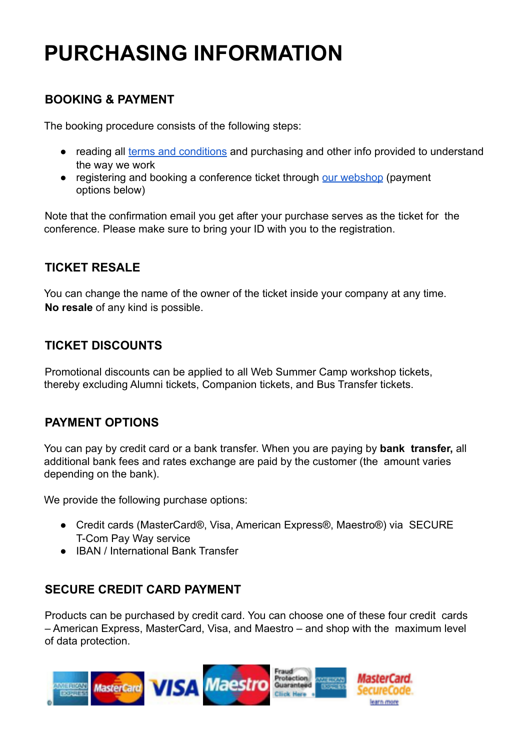# **PURCHASING INFORMATION**

# **BOOKING & PAYMENT**

The booking procedure consists of the following steps:

- reading all [terms and conditions](https://www.salsa-adria.hr/content/download/42661/494067/version/4/file/TERMS+AND+CONDITIONS+-+WEBSC.pdf) and purchasing and other info provided to understand the way we work
- registering and booking a conference ticket through [our webshop](https://www.salsa-adria.hr/) (payment options below)

Note that the confirmation email you get after your purchase serves as the ticket for the conference. Please make sure to bring your ID with you to the registration.

# **TICKET RESALE**

You can change the name of the owner of the ticket inside your company at any time. **No resale** of any kind is possible.

#### **TICKET DISCOUNTS**

Promotional discounts can be applied to all Web Summer Camp workshop tickets, thereby excluding Alumni tickets, Companion tickets, and Bus Transfer tickets.

#### **PAYMENT OPTIONS**

You can pay by credit card or a bank transfer. When you are paying by **bank transfer,** all additional bank fees and rates exchange are paid by the customer (the amount varies depending on the bank).

We provide the following purchase options:

- Credit cards (MasterCard®, Visa, American Express®, Maestro®) via SECURE T-Com Pay Way service
- IBAN / International Bank Transfer

## **SECURE CREDIT CARD PAYMENT**

Products can be purchased by credit card. You can choose one of these four credit cards – American Express, MasterCard, Visa, and Maestro – and shop with the maximum level of data protection.